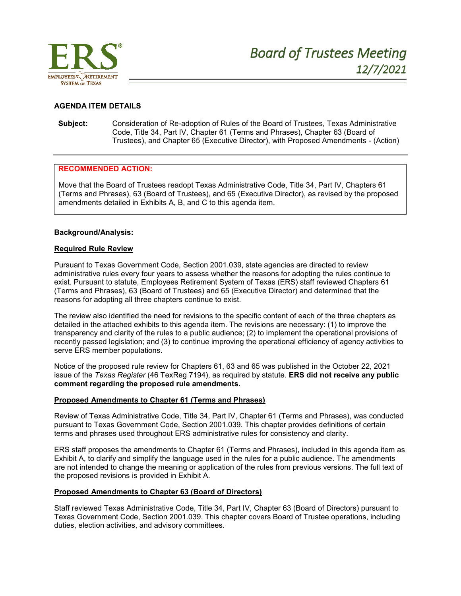

## **AGENDA ITEM DETAILS**

**Subject:** Consideration of Re-adoption of Rules of the Board of Trustees, Texas Administrative Code, Title 34, Part IV, Chapter 61 (Terms and Phrases), Chapter 63 (Board of Trustees), and Chapter 65 (Executive Director), with Proposed Amendments - (Action)

### **RECOMMENDED ACTION:**

Move that the Board of Trustees readopt Texas Administrative Code, Title 34, Part IV, Chapters 61 (Terms and Phrases), 63 (Board of Trustees), and 65 (Executive Director), as revised by the proposed amendments detailed in Exhibits A, B, and C to this agenda item.

### **Background/Analysis:**

## **Required Rule Review**

Pursuant to Texas Government Code, Section 2001.039, state agencies are directed to review administrative rules every four years to assess whether the reasons for adopting the rules continue to exist. Pursuant to statute, Employees Retirement System of Texas (ERS) staff reviewed Chapters 61 (Terms and Phrases), 63 (Board of Trustees) and 65 (Executive Director) and determined that the reasons for adopting all three chapters continue to exist.

The review also identified the need for revisions to the specific content of each of the three chapters as detailed in the attached exhibits to this agenda item. The revisions are necessary: (1) to improve the transparency and clarity of the rules to a public audience; (2) to implement the operational provisions of recently passed legislation; and (3) to continue improving the operational efficiency of agency activities to serve ERS member populations.

Notice of the proposed rule review for Chapters 61, 63 and 65 was published in the October 22, 2021 issue of the *Texas Register* (46 TexReg 7194), as required by statute. **ERS did not receive any public comment regarding the proposed rule amendments.**

### **Proposed Amendments to Chapter 61 (Terms and Phrases)**

Review of Texas Administrative Code, Title 34, Part IV, Chapter 61 (Terms and Phrases), was conducted pursuant to Texas Government Code, Section 2001.039. This chapter provides definitions of certain terms and phrases used throughout ERS administrative rules for consistency and clarity.

ERS staff proposes the amendments to Chapter 61 (Terms and Phrases), included in this agenda item as Exhibit A, to clarify and simplify the language used in the rules for a public audience. The amendments are not intended to change the meaning or application of the rules from previous versions. The full text of the proposed revisions is provided in Exhibit A.

### **Proposed Amendments to Chapter 63 (Board of Directors)**

Staff reviewed Texas Administrative Code, Title 34, Part IV, Chapter 63 (Board of Directors) pursuant to Texas Government Code, Section 2001.039. This chapter covers Board of Trustee operations, including duties, election activities, and advisory committees.